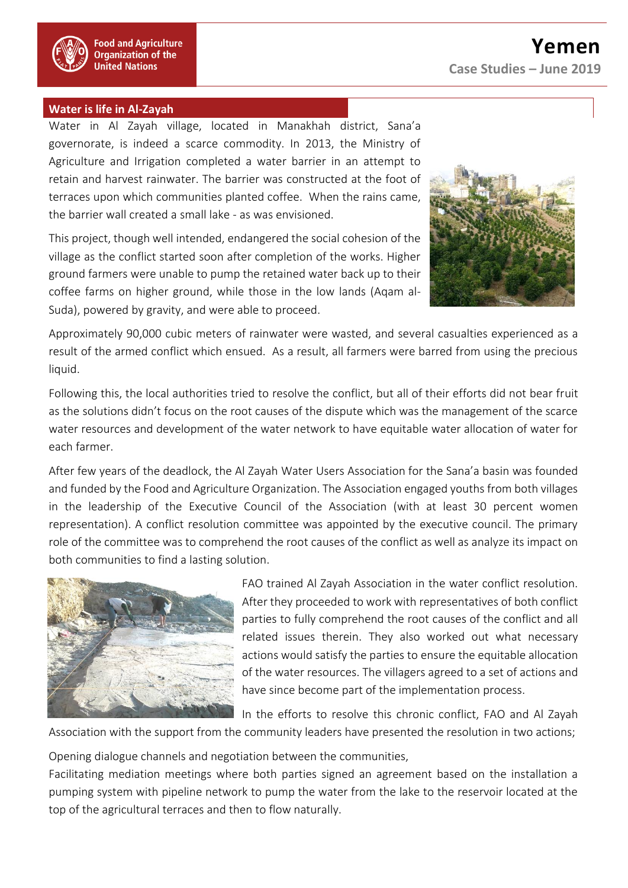## **Water is life in Al-Zayah**

Water in Al Zayah village, located in Manakhah district, Sana'a governorate, is indeed a scarce commodity. In 2013, the Ministry of Agriculture and Irrigation completed a water barrier in an attempt to retain and harvest rainwater. The barrier was constructed at the foot of terraces upon which communities planted coffee. When the rains came, the barrier wall created a small lake - as was envisioned.

This project, though well intended, endangered the social cohesion of the village as the conflict started soon after completion of the works. Higher ground farmers were unable to pump the retained water back up to their coffee farms on higher ground, while those in the low lands (Aqam al-Suda), powered by gravity, and were able to proceed.



Approximately 90,000 cubic meters of rainwater were wasted, and several casualties experienced as a result of the armed conflict which ensued. As a result, all farmers were barred from using the precious liquid.

Following this, the local authorities tried to resolve the conflict, but all of their efforts did not bear fruit as the solutions didn't focus on the root causes of the dispute which was the management of the scarce water resources and development of the water network to have equitable water allocation of water for each farmer.

After few years of the deadlock, the Al Zayah Water Users Association for the Sana'a basin was founded and funded by the Food and Agriculture Organization. The Association engaged youths from both villages in the leadership of the Executive Council of the Association (with at least 30 percent women representation). A conflict resolution committee was appointed by the executive council. The primary role of the committee was to comprehend the root causes of the conflict as well as analyze its impact on both communities to find a lasting solution.



FAO trained Al Zayah Association in the water conflict resolution. After they proceeded to work with representatives of both conflict parties to fully comprehend the root causes of the conflict and all related issues therein. They also worked out what necessary actions would satisfy the parties to ensure the equitable allocation of the water resources. The villagers agreed to a set of actions and have since become part of the implementation process.

In the efforts to resolve this chronic conflict, FAO and Al Zayah

Association with the support from the community leaders have presented the resolution in two actions;

- Opening dialogue channels and negotiation between the communities,

Facilitating mediation meetings where both parties signed an agreement based on the installation a pumping system with pipeline network to pump the water from the lake to the reservoir located at the top of the agricultural terraces and then to flow naturally.